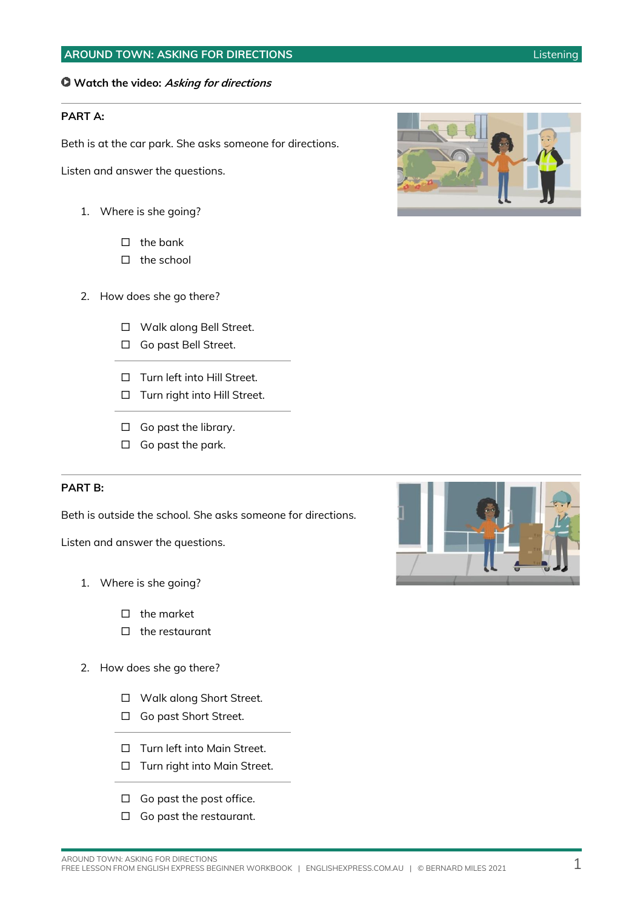### **Watch the video: Asking for directions**

### **PART A:**

Beth is at the car park. She asks someone for directions.

Listen and answer the questions.

- 1. Where is she going?
	- $\Box$  the bank
	- $\Box$  the school
- 2. How does she go there?
	- □ Walk along Bell Street.
	- □ Go past Bell Street.
	- □ Turn left into Hill Street.
	- □ Turn right into Hill Street.
	- □ Go past the library.
	- $\Box$  Go past the park.

#### **PART B:**

Beth is outside the school. She asks someone for directions.

Listen and answer the questions.

- 1. Where is she going?
	- $\Box$  the market
	- $\Box$  the restaurant
- 2. How does she go there?
	- □ Walk along Short Street.
	- □ Go past Short Street.
	- □ Turn left into Main Street.
	- □ Turn right into Main Street.
	- $\Box$  Go past the post office.
	- □ Go past the restaurant.



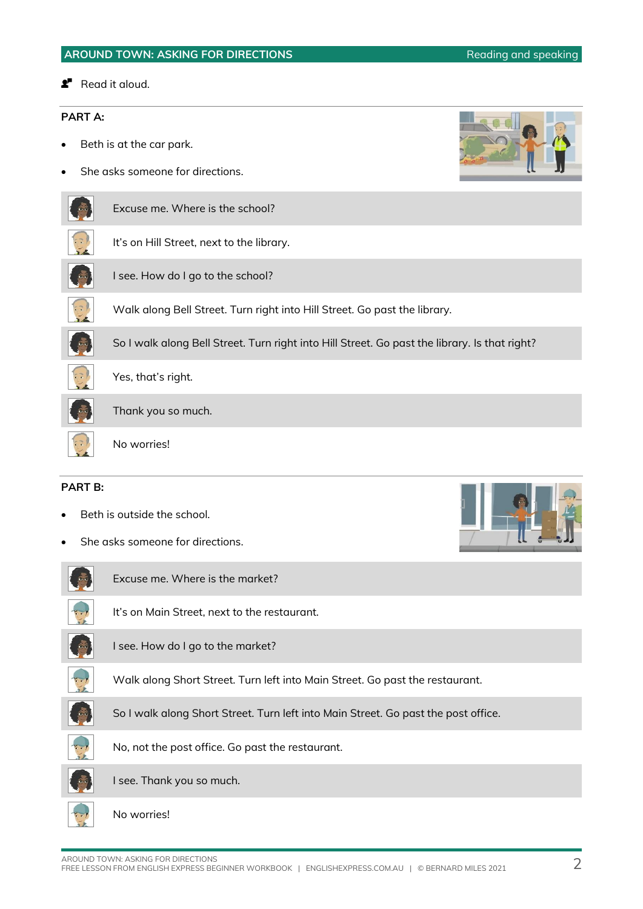**Read it aloud.** 

### **PART A:**

- Beth is at the car park.
- She asks someone for directions.

| Excuse me. Where is the school? |  |  |
|---------------------------------|--|--|
|                                 |  |  |

| It's on Hill Street, next to the library. |
|-------------------------------------------|
|-------------------------------------------|

- I see. How do I go to the school?
- Walk along Bell Street. Turn right into Hill Street. Go past the library.
- So I walk along Bell Street. Turn right into Hill Street. Go past the library. Is that right?





No worries!

### **PART B:**

- Beth is outside the school.
- She asks someone for directions.

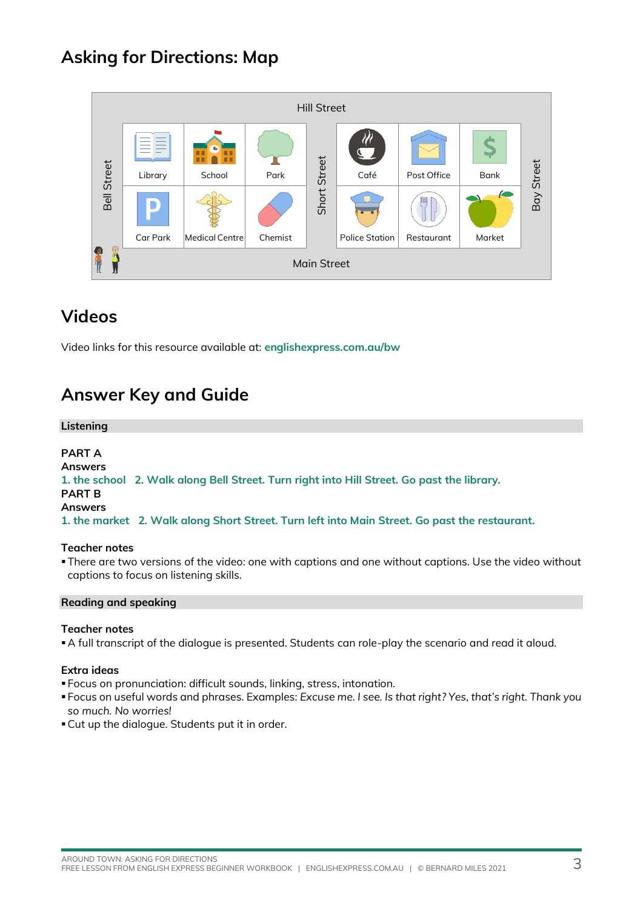# **Asking for Directions: Map**

| <b>Hill Street</b> |                    |                  |         |              |                       |             |             |                   |
|--------------------|--------------------|------------------|---------|--------------|-----------------------|-------------|-------------|-------------------|
| <b>Bell Street</b> | Library            | ш<br>ш<br>School | Park    | Short Street | Café                  | Post Office | <b>Bank</b> | <b>Bay Street</b> |
|                    | Car Park           | Medical Centre   | Chemist |              | <b>Police Station</b> | Restaurant  | Market      |                   |
| التربيا            | <b>Main Street</b> |                  |         |              |                       |             |             |                   |

## **Videos**

Video links for this resource available at: **[englishexpress.com.au/bw](https://www.englishexpress.com.au/bw)**

## **Answer Key and Guide**

#### **Listening**

### **PART A**

**Answers 1. the school 2. Walk along Bell Street. Turn right into Hill Street. Go past the library.**

### **PART B**

**Answers**

**1. the market 2. Walk along Short Street. Turn left into Main Street. Go past the restaurant.**

### **Teacher notes**

▪There are two versions of the video: one with captions and one without captions. Use the video without captions to focus on listening skills.

### **Reading and speaking**

### **Teacher notes**

▪A full transcript of the dialogue is presented. Students can role-play the scenario and read it aloud.

### **Extra ideas**

- Focus on pronunciation: difficult sounds, linking, stress, intonation.
- Focus on useful words and phrases. Examples: *Excuse me. I see. Is that right? Yes, that's right. Thank you so much. No worries!*
- **.** Cut up the dialogue. Students put it in order.